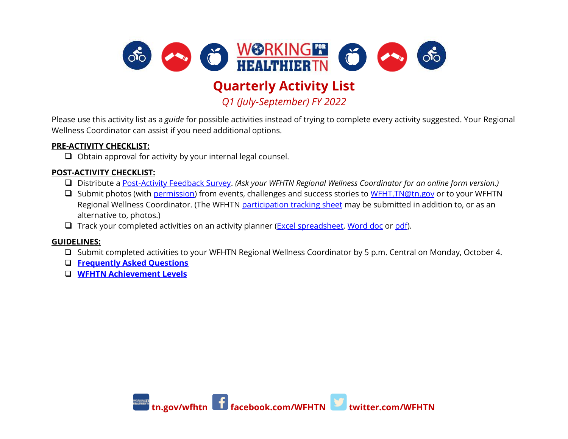

## **Quarterly Activity List**

*Q1 (July-September) FY 2022*

Please use this activity list as a *guide* for possible activities instead of trying to complete every activity suggested. Your Regional Wellness Coordinator can assist if you need additional options.

## **PRE-ACTIVITY CHECKLIST:**

❑ Obtain approval for activity by your internal legal counsel.

## **POST-ACTIVITY CHECKLIST:**

- ❑ Distribute a [Post-Activity Feedback Survey.](https://www.tn.gov/content/dam/tn/wfhtn/documents/WFHT-Challenge-Survey.pdf) *(Ask your WFHTN Regional Wellness Coordinator for an online form version.)*
- □ Submit photos (with [permission\)](https://www.tn.gov/content/dam/tn/wfhtn/documents/WFHTN%20Photo%20Waiver%20Multi.pdf) from events, challenges and success stories to [WFHT.TN@tn.gov](mailto:WFHT.TN@tn.gov) or to your WFHTN Regional Wellness Coordinator. (The WFHTN [participation tracking sheet](https://www.tn.gov/content/dam/tn/wfhtn/documents/WFHT%20Participation%20Tracking%20Sheet.pdf) may be submitted in addition to, or as an alternative to, photos.)
- □ Track your completed activities on an activity planner [\(Excel spreadsheet,](https://www.tn.gov/content/dam/tn/wfhtn/documents/fy-2022-achievement-levels/wfhtn_achievement_levels_tracker_final.xlsx) [Word doc](https://www.tn.gov/content/dam/tn/wfhtn/documents/fy-2022-achievement-levels/wfhtn_quarterly_activity_planner_final.docx) o[r pdf\)](https://www.tn.gov/content/dam/tn/wfhtn/documents/fy-2022-achievement-levels/wfhtn_quarterly_activity_planner_final.pdf).

## **GUIDELINES:**

- ❑ Submit completed activities to your WFHTN Regional Wellness Coordinator by 5 p.m. Central on Monday, October 4.
- ❑ **[Frequently Asked Questions](https://www.tn.gov/content/dam/tn/wfhtn/documents/fy-2022-achievement-levels/wfhtn_fy2022_achievement_levels_faqs_final.pdf)**
- ❑ **[WFHTN Achievement Levels](https://www.tn.gov/content/dam/tn/wfhtn/documents/fy-2022-achievement-levels/wfhtn_2021_achievement_levels_final.png)**